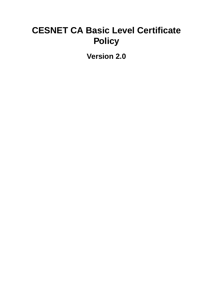# **CESNET CA Basic Level Certificate Policy**

**Version 2.0**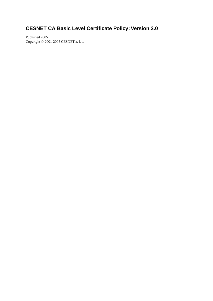## **CESNET CA Basic Level Certificate Policy: Version 2.0**

Published 2005 Copyright © 2001-2005 CESNET a. l. e.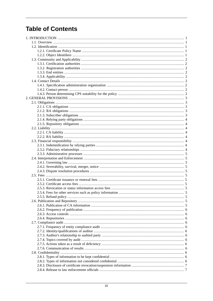## **Table of Contents**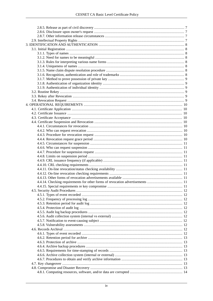| 4.4.14. Checking requirements for other forms of revocation advertisements  11 |  |
|--------------------------------------------------------------------------------|--|
|                                                                                |  |
|                                                                                |  |
|                                                                                |  |
|                                                                                |  |
|                                                                                |  |
|                                                                                |  |
|                                                                                |  |
|                                                                                |  |
|                                                                                |  |
|                                                                                |  |
|                                                                                |  |
|                                                                                |  |
|                                                                                |  |
|                                                                                |  |
|                                                                                |  |
|                                                                                |  |
|                                                                                |  |
|                                                                                |  |
|                                                                                |  |
|                                                                                |  |
|                                                                                |  |
|                                                                                |  |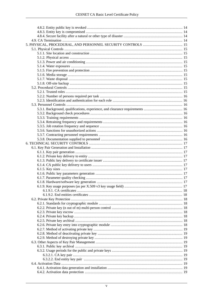| 5. PHYSICAL, PROCEDURAL, AND PERSONNEL SECURITY CONTROLS  15                  |  |
|-------------------------------------------------------------------------------|--|
|                                                                               |  |
|                                                                               |  |
|                                                                               |  |
|                                                                               |  |
|                                                                               |  |
|                                                                               |  |
|                                                                               |  |
|                                                                               |  |
|                                                                               |  |
|                                                                               |  |
|                                                                               |  |
|                                                                               |  |
|                                                                               |  |
|                                                                               |  |
|                                                                               |  |
| 5.3.1. Background, qualifications, experience, and clearance requirements  16 |  |
|                                                                               |  |
|                                                                               |  |
|                                                                               |  |
|                                                                               |  |
|                                                                               |  |
|                                                                               |  |
|                                                                               |  |
|                                                                               |  |
|                                                                               |  |
|                                                                               |  |
|                                                                               |  |
|                                                                               |  |
|                                                                               |  |
|                                                                               |  |
|                                                                               |  |
|                                                                               |  |
|                                                                               |  |
|                                                                               |  |
|                                                                               |  |
|                                                                               |  |
|                                                                               |  |
|                                                                               |  |
|                                                                               |  |
|                                                                               |  |
|                                                                               |  |
|                                                                               |  |
|                                                                               |  |
|                                                                               |  |
|                                                                               |  |
|                                                                               |  |
|                                                                               |  |
|                                                                               |  |
|                                                                               |  |
|                                                                               |  |
|                                                                               |  |
|                                                                               |  |
|                                                                               |  |
|                                                                               |  |
|                                                                               |  |
|                                                                               |  |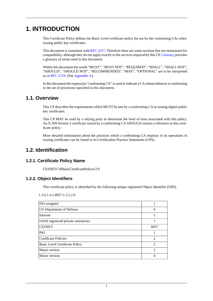## <span id="page-6-0"></span>**1. INTRODUCTION**

This Certificate Policy defines the Basic Level certificate policy for use by the conforming CAs when issuing public key certificates.

This document is consistent with [RFC 2527](#page-30-1). Therefore there are some sections that are maintained for compatibility, although they do not apply exactly to the services required by this CP. [Glossary](#page-29-0) provides a glossary of terms used in this document.

Within this document the words "MUST", "MUST NOT", "REQUIRED", "SHALL", "SHALL NOT", "SHOULD", "SHOULD NOT", "RECOMMENDED", "MAY", "OPTIONAL" are to be interpreted as in [RFC 2119](#page-30-2). (See [Appendix A](#page-31-0)).

<span id="page-6-1"></span>In this document the expression "conforming CA" is used to indicate a CA whose behavior is conforming to the set of provisions specified in this document.

#### **1.1. Overview**

This CP describes the requirements which MUST be met by a conforming CA in issuing digital public key certificates.

This CP MAY be used by a relying party to determine the level of trust associated with this policy. An X.509 Version 3 certificate issued by a conforming CA SHOULD contain a reference to this certificate policy.

<span id="page-6-3"></span><span id="page-6-2"></span>More detailed information about the practices which a conforming CA employs in its operations in issuing certificates can be found in its Certification Practice Statements (CPS).

### **1.2. Identification**

#### **1.2.1. Certificate Policy Name**

<span id="page-6-4"></span>CESNETCABasicCertificatePolicyv2:0

#### **1.2.2. Object Identifiers**

This certificate policy is identified by the following unique registered Object Identifier (OID):

*1.3.6.1.4.1.8057.1.2.2.2.0*

| ISO assigned                          |                                                                                                                                                                 |
|---------------------------------------|-----------------------------------------------------------------------------------------------------------------------------------------------------------------|
| <b>US Department of Defense</b>       | 6                                                                                                                                                               |
| Internet                              |                                                                                                                                                                 |
| IANA registered private enterprises   |                                                                                                                                                                 |
| <b>CESNET</b>                         | 8057                                                                                                                                                            |
| <b>PKI</b>                            |                                                                                                                                                                 |
| Certificate Policies                  | $\mathcal{D}_{\mathcal{A}}^{\mathcal{A}}(\mathcal{A})=\mathcal{D}_{\mathcal{A}}^{\mathcal{A}}(\mathcal{A})\mathcal{D}_{\mathcal{A}}^{\mathcal{A}}(\mathcal{A})$ |
| <b>Basic Level Certificate Policy</b> | $\mathfrak{D}$                                                                                                                                                  |
| Major version                         | $\mathcal{D}_{\mathcal{A}}^{\mathcal{A}}(\mathcal{A})=\mathcal{D}_{\mathcal{A}}^{\mathcal{A}}(\mathcal{A})\mathcal{D}_{\mathcal{A}}^{\mathcal{A}}(\mathcal{A})$ |
| Minor version                         |                                                                                                                                                                 |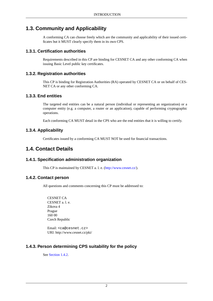### **1.3. Community and Applicability**

<span id="page-7-1"></span><span id="page-7-0"></span>A conforming CA can choose freely which are the community and applicability of their issued certificates but it MUST clearly specify them in its own CPS.

#### **1.3.1. Certification authorities**

<span id="page-7-2"></span>Requirements described in this CP are binding for CESNET CA and any other conforming CA when issuing Basic Level public key certificates.

#### **1.3.2. Registration authorities**

<span id="page-7-3"></span>This CP is binding for Registration Authorities (RA) operated by CESNET CA or on behalf of CES-NET CA or any other conforming CA.

#### **1.3.3. End entities**

The targeted end entities can be a natural person (individual or representing an organization) or a computer entity (e.g. a computer, a router or an application), capable of performing cryptographic operations.

<span id="page-7-5"></span><span id="page-7-4"></span>Each conforming CA MUST detail in the CPS who are the end entities that it is willing to certify.

#### **1.3.4. Applicability**

<span id="page-7-6"></span>Certificates issued by a conforming CA MUST NOT be used for financial transactions.

### **1.4. Contact Details**

#### **1.4.1. Specification administration organization**

<span id="page-7-7"></span>This CP is maintained by CESNET a. l. e. (<http://www.cesnet.cz/>).

#### **1.4.2. Contact person**

All questions and comments concerning this CP must be addressed to:

 CESNET CA CESNET a. l. e. Zikova 4 Prague 160 00 Czech Republic

<span id="page-7-8"></span> Email: <ca@cesnet.cz> URI: http://www.cesnet.cz/pki/

#### **1.4.3. Person determining CPS suitability for the policy**

See [Section 1.4.2](#page-7-7).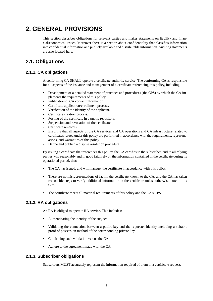## <span id="page-8-0"></span>**2. GENERAL PROVISIONS**

<span id="page-8-1"></span>This section describes obligations for relevant parties and makes statements on liability and financial/economical issues. Moreover there is a section about confidentiality that classifies information into confidential information and publicly available and distributable information. Auditing statements are also located here.

### <span id="page-8-2"></span>**2.1. Obligations**

#### **2.1.1. CA obligations**

A conforming CA SHALL operate a certificate authority service. The conforming CA is responsible for all aspects of the issuance and management of a certificate referencing this policy, including:

- Development of a detailed statement of practices and procedures (the CPS) by which the CA implements the requirements of this policy.
- Publication of CA contact information.
- Certificate application/enrollment process.
- Verification of the identity of the applicant.
- Certificate creation process.
- Posting of the certificate in a public repository.
- Suspension and revocation of the certificate.
- Certificate renewals.
- Ensuring that all aspects of the CA services and CA operations and CA infrastructure related to certificates issued under this policy are performed in accordance with the requirements, representations, and warranties of this policy.
- Define and publish a dispute resolution procedure.

By issuing a certificate that references this policy, the CA certifies to the subscriber, and to all relying parties who reasonably and in good faith rely on the information contained in the certificate during its operational period, that:

- The CA has issued, and will manage, the certificate in accordance with this policy.
- <span id="page-8-3"></span>There are no misrepresentations of fact in the certificate known to the CA, and the CA has taken reasonable steps to verify additional information in the certificate unless otherwise noted in its CPS.
- The certificate meets all material requirements of this policy and the CA's CPS.

#### **2.1.2. RA obligations**

An RA is obliged to operate RA service. This includes:

- Authenticating the identity of the subject
- <span id="page-8-4"></span>• Validating the connection between a public key and the requester identity including a suitable proof of possession method of the corresponding private key
- Confirming such validation versus the CA
- Adhere to the agreement made with the CA

#### **2.1.3. Subscriber obligations**

Subscribers MUST accurately represent the information required of them in a certificate request.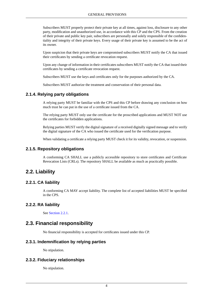Subscribers MUST properly protect their private key at all times, against loss, disclosure to any other party, modification and unauthorized use, in accordance with this CP and the CPS. From the creation of their private and public key pair, subscribers are personally and solely responsible of the confidentiality and integrity of their private keys. Every usage of their private key is assumed to be the act of its owner.

Upon suspicion that their private keys are compromised subscribers MUST notify the CA that issued their certificates by sending a certificate revocation request.

Upon any change of information in their certificates subscribers MUST notify the CA that issued their certificates by sending a certificate revocation request.

<span id="page-9-0"></span>Subscribers MUST use the keys and certificates only for the purposes authorized by the CA.

Subscribers MUST authorize the treatment and conservation of their personal data.

#### **2.1.4. Relying party obligations**

A relying party MUST be familiar with the CPS and this CP before drawing any conclusion on how much trust he can put in the use of a certificate issued from the CA.

The relying party MUST only use the certificate for the proscribed applications and MUST NOT use the certificates for forbidden applications.

<span id="page-9-1"></span>Relying parties MUST verify the digital signature of a received digitally signed message and to verify the digital signature of the CA who issued the certificate used for the verification purpose.

When validating a certificate a relying party MUST check it for its validity, revocation, or suspension.

#### **2.1.5. Repository obligations**

<span id="page-9-3"></span><span id="page-9-2"></span>A conforming CA SHALL use a publicly accessible repository to store certificates and Certificate Revocation Lists (CRLs). The repository SHALL be available as much as practically possible.

#### **2.2. Liability**

#### **2.2.1. CA liability**

<span id="page-9-5"></span><span id="page-9-4"></span>A conforming CA MAY accept liability. The complete list of accepted liabilities MUST be specified in the CPS.

#### **2.2.2. RA liability**

<span id="page-9-6"></span>See [Section 2.2.1](#page-9-3).

#### **2.3. Financial responsibility**

<span id="page-9-7"></span>No financial responsibility is accepted for certificates issued under this CP.

#### **2.3.1. Indemnification by relying parties**

No stipulation.

#### **2.3.2. Fiduciary relationships**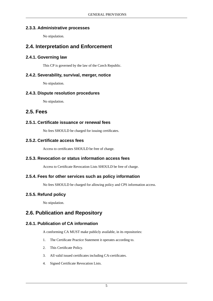#### **2.3.3. Administrative processes**

<span id="page-10-2"></span><span id="page-10-1"></span><span id="page-10-0"></span>No stipulation.

### **2.4. Interpretation and Enforcement**

#### **2.4.1. Governing law**

<span id="page-10-3"></span>This CP is governed by the law of the Czech Republic.

#### **2.4.2. Severability, survival, merger, notice**

<span id="page-10-4"></span>No stipulation.

#### **2.4.3. Dispute resolution procedures**

<span id="page-10-6"></span><span id="page-10-5"></span>No stipulation.

### **2.5. Fees**

#### **2.5.1. Certificate issuance or renewal fees**

<span id="page-10-8"></span><span id="page-10-7"></span>No fees SHOULD be charged for issuing certificates.

#### **2.5.2. Certificate access fees**

<span id="page-10-9"></span>Access to certificates SHOULD be free of charge.

#### **2.5.3. Revocation or status information access fees**

<span id="page-10-10"></span>Access to Certificate Revocation Lists SHOULD be free of charge.

#### **2.5.4. Fees for other services such as policy information**

<span id="page-10-11"></span>No fees SHOULD be charged for allowing policy and CPS information access.

#### **2.5.5. Refund policy**

<span id="page-10-12"></span>No stipulation.

### **2.6. Publication and Repository**

#### **2.6.1. Publication of CA information**

A conforming CA MUST make publicly available, in its repositories:

- 1. The Certificate Practice Statement it operates according to.
- 2. This Certificate Policy.
- 3. All valid issued certificates including CA-certificates.
- 4. Signed Certificate Revocation Lists.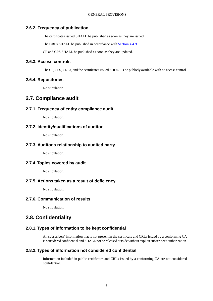#### **2.6.2. Frequency of publication**

<span id="page-11-0"></span>The certificates issued SHALL be published as soon as they are issued.

The CRLs SHALL be published in accordance with [Section 4.4.9](#page-16-4).

<span id="page-11-1"></span>CP and CPS SHALL be published as soon as they are updated.

#### **2.6.3. Access controls**

<span id="page-11-2"></span>The CP, CPS, CRLs, and the certificates issued SHOULD be publicly available with no access control.

#### **2.6.4. Repositories**

<span id="page-11-4"></span><span id="page-11-3"></span>No stipulation.

### **2.7. Compliance audit**

#### **2.7.1. Frequency of entity compliance audit**

<span id="page-11-6"></span><span id="page-11-5"></span>No stipulation.

#### **2.7.2. Identity/qualifications of auditor**

<span id="page-11-7"></span>No stipulation.

#### **2.7.3. Auditor's relationship to audited party**

<span id="page-11-8"></span>No stipulation.

#### **2.7.4.Topics covered by audit**

<span id="page-11-9"></span>No stipulation.

#### **2.7.5. Actions taken as a result of deficiency**

<span id="page-11-10"></span>No stipulation.

#### **2.7.6. Communication of results**

<span id="page-11-11"></span>No stipulation.

### <span id="page-11-12"></span>**2.8. Confidentiality**

#### **2.8.1.Types of information to be kept confidential**

All subscribers' information that is not present in the certificate and CRLs issued by a conforming CA is considered confidential and SHALL not be released outside without explicit subscriber's authorization.

#### **2.8.2.Types of information not considered confidential**

Information included in public certificates and CRLs issued by a conforming CA are not considered confidential.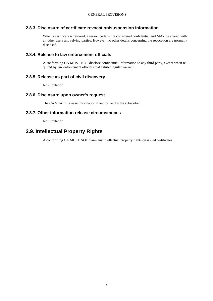#### **2.8.3. Disclosure of certificate revocation/suspension information**

<span id="page-12-1"></span><span id="page-12-0"></span>When a certificate is revoked, a reason code is not considered confidential and MAY be shared with all other users and relying parties. However, no other details concerning the revocation are normally disclosed.

#### **2.8.4. Release to law enforcement officials**

<span id="page-12-2"></span>A conforming CA MUST NOT disclose confidential information to any third party, except when required by law enforcement officials that exhibit regular warrant.

#### **2.8.5. Release as part of civil discovery**

<span id="page-12-3"></span>No stipulation.

#### **2.8.6. Disclosure upon owner's request**

<span id="page-12-4"></span>The CA SHALL release information if authorized by the subscriber.

#### **2.8.7. Other information release circumstances**

<span id="page-12-5"></span>No stipulation.

### **2.9. Intellectual Property Rights**

A conforming CA MUST NOT claim any intellectual property rights on issued certificates.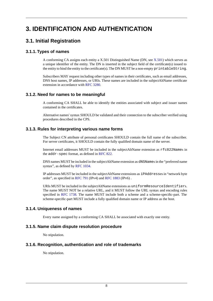## <span id="page-13-1"></span><span id="page-13-0"></span>**3. IDENTIFICATION AND AUTHENTICATION**

### <span id="page-13-2"></span>**3.1. Initial Registration**

#### **3.1.1.Types of names**

A conforming CA assigns each entity a X.501 Distinguished Name (DN, see [X.501\)](#page-30-3) which serves as a unique identifier of the entity. The DN is inserted in the subject field of the certificate(s) issued to the entity to bind the entity to the certificate(s). The DN MUST be a non-empty printableString.

<span id="page-13-3"></span>Subscribers MAY request including other types of names in their certificates, such as email addresses, DNS host names, IP addresses, or URIs. These names are included in the subjectAltName certificate extension in accordance with [RFC 3280](#page-30-4).

#### **3.1.2. Need for names to be meaningful**

A conforming CA SHALL be able to identify the entities associated with subject and issuer names contained in the certificates.

<span id="page-13-4"></span>Alternative names' syntax SHOULD be validated and their connection to the subscriber verified using procedures described in the CPS.

#### **3.1.3. Rules for interpreting various name forms**

The Subject CN attribute of personal certificates SHOULD contain the full name of the subscriber. For server certificates, it SHOULD contain the fully qualified domain name of the server.

Internet email addresses MUST be included in the subjectAltName extension as rfc822Names in the addr-spec format, as defined in [RFC 822](#page-30-5).

DNS names MUST be included in the subjectAltName extension as dNSNames in the "preferred name syntax", as defined by [RFC 1034](#page-30-6).

IP addresses MUST be included in the subjectAltName extensions as iPAddresses in "network byte order", as specified in [RFC 791](#page-30-7) (IPv4) and [RFC 1883](#page-30-8) (IPv6) .

<span id="page-13-6"></span><span id="page-13-5"></span>URIs MUST be included in the subjectAltName extensions as uniformResourceIdentifiers. The name MUST NOT be a relative URL, and it MUST follow the URL syntax and encoding rules specified in [RFC 1738](#page-30-9). The name MUST include both a scheme and a scheme-specific-part. The scheme-specific-part MUST include a fully qualified domain name or IP address as the host.

#### **3.1.4. Uniqueness of names**

<span id="page-13-7"></span>Every name assigned by a conforming CA SHALL be associated with exactly one entity.

#### **3.1.5. Name claim dispute resolution procedure**

No stipulation.

#### **3.1.6. Recognition, authentication and role of trademarks**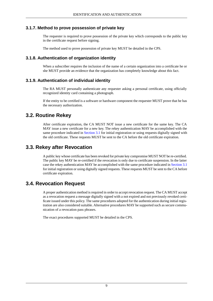#### **3.1.7. Method to prove possession of private key**

<span id="page-14-0"></span>The requester is required to prove possession of the private key which corresponds to the public key in the certificate request before signing.

<span id="page-14-1"></span>The method used to prove possession of private key MUST be detailed in the CPS.

#### **3.1.8. Authentication of organization identity**

<span id="page-14-2"></span>When a subscriber requires the inclusion of the name of a certain organization into a certificate he or she MUST provide an evidence that the organization has completely knowledge about this fact.

#### **3.1.9. Authentication of individual identity**

The RA MUST personally authenticate any requester asking a personal certificate, using officially recognized identity card containing a photograph.

<span id="page-14-3"></span>If the entity to be certified is a software or hardware component the requester MUST prove that he has the necessary authorization.

### **3.2. Routine Rekey**

<span id="page-14-4"></span>After certificate expiration, the CA MUST NOT issue a new certificate for the same key. The CA MAY issue a new certificate for a new key. The rekey authentication MAY be accomplished with the same procedure indicated in [Section 3.1](#page-13-1) for initial registration or using requests digitally signed with the old certificate. These requests MUST be sent to the CA before the old certificate expiration.

### **3.3. Rekey after Revocation**

<span id="page-14-5"></span>A public key whose certificate has been revoked for private key compromise MUST NOT be re-certified. The public key MAY be re-certified if the revocation is only due to certificate suspension. In the latter case the rekey authentication MAY be accomplished with the same procedure indicated in [Section 3.1](#page-13-1) for initial registration or using digitally signed requests. These requests MUST be sent to the CA before certificate expiration.

### **3.4. Revocation Request**

A proper authentication method is required in order to accept revocation request. The CA MUST accept as a revocation request a message digitally signed with a not expired and not previously revoked certificate issued under this policy. The same procedures adopted for the authentication during initial registration are also considered suitable. Alternative procedures MAY be supported such as secure communication of a revocation pass phrases.

The exact procedures supported MUST be detailed in the CPS.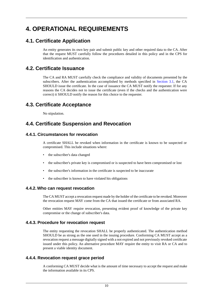## <span id="page-15-1"></span><span id="page-15-0"></span>**4. OPERATIONAL REQUIREMENTS**

### **4.1. Certificate Application**

<span id="page-15-2"></span>An entity generates its own key pair and submit public key and other required data to the CA. After that the request MUST carefully follow the procedures detailed in this policy and in the CPS for identification and authentication.

### **4.2. Certificate Issuance**

<span id="page-15-3"></span>The CA and RA MUST carefully check the compliance and validity of documents presented by the subscribers. After the authentication accomplished by methods specified in [Section 3.1](#page-13-1), the CA SHOULD issue the certificate. In the case of issuance the CA MUST notify the requester. If for any reasons the CA decides not to issue the certificate (even if the checks and the authentication were correct) it SHOULD notify the reason for this choice to the requester.

### **4.3. Certificate Acceptance**

<span id="page-15-5"></span><span id="page-15-4"></span>No stipulation.

### **4.4. Certificate Suspension and Revocation**

#### **4.4.1. Circumstances for revocation**

A certificate SHALL be revoked when information in the certificate is known to be suspected or compromised. This include situations where:

- the subscriber's data changed
- the subscriber's private key is compromised or is suspected to have been compromised or lost
- <span id="page-15-6"></span>• the subscriber's information in the certificate is suspected to be inaccurate
- the subscriber is known to have violated his obligations

#### **4.4.2. Who can request revocation**

<span id="page-15-7"></span>The CA MUST accept a revocation request made by the holder of the certificate to be revoked. Moreover the revocation request MAY come from the CA that issued the certificate or from associated RA.

Other entities MAY require revocation, presenting evident proof of knowledge of the private key compromise or the change of subscriber's data.

#### **4.4.3. Procedure for revocation request**

<span id="page-15-8"></span>The entity requesting the revocation SHALL be properly authenticated. The authentication method SHOULD be as strong as the one used in the issuing procedure. Conforming CA MUST accept as a revocation request a message digitally signed with a not expired and not previously revoked certificate issued under this policy. An alternative procedure MAY require the entity to visit RA or CA and to present a viable identity document.

#### **4.4.4. Revocation request grace period**

A conforming CA MUST decide what is the amount of time necessary to accept the request and make the information available in its CPS.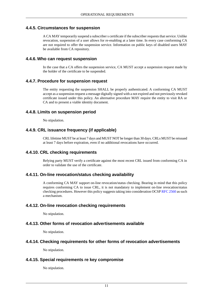#### **4.4.5. Circumstances for suspension**

<span id="page-16-1"></span><span id="page-16-0"></span>A CA MAY temporarily suspend a subscriber s certificate if the subscriber requests that service. Unlike revocation, suspension of a user allows for re-enabling at a later time. In every case conforming CA are not required to offer the suspension service. Information on public keys of disabled users MAY be available from CA repository.

#### **4.4.6. Who can request suspension**

<span id="page-16-2"></span>In the case that a CA offers the suspension service, CA MUST accept a suspension request made by the holder of the certificate to be suspended.

#### **4.4.7. Procedure for suspension request**

<span id="page-16-3"></span>The entity requesting the suspension SHALL be properly authenticated. A conforming CA MUST accept as a suspension request a message digitally signed with a not expired and not previously revoked certificate issued under this policy. An alternative procedure MAY require the entity to visit RA or CA and to present a viable identity document.

#### **4.4.8. Limits on suspension period**

<span id="page-16-4"></span>No stipulation.

#### **4.4.9. CRL issuance frequency (if applicable)**

<span id="page-16-5"></span>CRL lifetime MUST be at least 7 days and MUST NOT be longer than 30 days. CRLs MUST be reissued at least 7 days before expiration, even if no additional revocations have occurred.

#### **4.4.10. CRL checking requirements**

<span id="page-16-6"></span>Relying party MUST verify a certificate against the most recent CRL issued from conforming CA in order to validate the use of the certificate.

#### **4.4.11. On-line revocation/status checking availability**

<span id="page-16-8"></span><span id="page-16-7"></span>A conforming CA MAY support on-line revocation/status checking. Bearing in mind that this policy requires conforming CA to issue CRL, it is not mandatory to implement on-line revocation/status checking procedures. However this policy suggests taking into consideration OCSP [RFC 2560](#page-30-10) as such a mechanism.

#### **4.4.12. On-line revocation checking requirements**

<span id="page-16-9"></span>No stipulation.

#### **4.4.13. Other forms of revocation advertisements available**

<span id="page-16-10"></span>No stipulation.

#### **4.4.14. Checking requirements for other forms of revocation advertisements**

No stipulation.

#### **4.4.15. Special requirements re key compromise**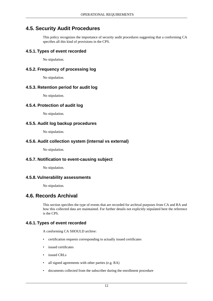### **4.5. Security Audit Procedures**

<span id="page-17-1"></span><span id="page-17-0"></span>This policy recognizes the importance of security audit procedures suggesting that a conforming CA specifies all this kind of provisions in the CPS.

#### **4.5.1.Types of event recorded**

<span id="page-17-2"></span>No stipulation.

#### **4.5.2. Frequency of processing log**

<span id="page-17-3"></span>No stipulation.

#### **4.5.3. Retention period for audit log**

<span id="page-17-4"></span>No stipulation.

#### **4.5.4. Protection of audit log**

<span id="page-17-5"></span>No stipulation.

#### **4.5.5. Audit log backup procedures**

<span id="page-17-7"></span><span id="page-17-6"></span>No stipulation.

#### **4.5.6. Audit collection system (internal vs external)**

<span id="page-17-8"></span>No stipulation.

#### **4.5.7. Notification to event-causing subject**

<span id="page-17-9"></span>No stipulation.

#### **4.5.8.Vulnerability assessments**

No stipulation.

### **4.6. Records Archival**

<span id="page-17-10"></span>This section specifies the type of events that are recorded for archival purposes from CA and RA and how this collected data are maintained. For further details not explicitly stipulated here the reference is the CPS.

#### **4.6.1.Types of event recorded**

A conforming CA SHOULD archive:

- certification requests corresponding to actually issued certificates
- issued certificates
- issued CRLs
- all signed agreements with other parties (e.g. RA)
- documents collected from the subscriber during the enrollment procedure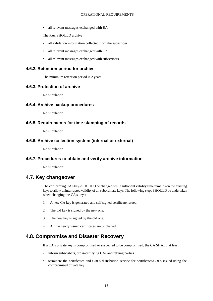• all relevant messages exchanged with RA

The RAs SHOULD archive:

- all validation information collected from the subscriber
- all relevant messages exchanged with CA
- <span id="page-18-0"></span>• all relevant messages exchanged with subscribers

#### **4.6.2. Retention period for archive**

<span id="page-18-1"></span>The minimum retention period is 2 years.

#### **4.6.3. Protection of archive**

<span id="page-18-2"></span>No stipulation.

#### **4.6.4. Archive backup procedures**

<span id="page-18-3"></span>No stipulation.

#### **4.6.5. Requirements for time-stamping of records**

<span id="page-18-5"></span><span id="page-18-4"></span>No stipulation.

#### **4.6.6. Archive collection system (internal or external)**

<span id="page-18-6"></span>No stipulation.

#### **4.6.7. Procedures to obtain and verify archive information**

No stipulation.

### **4.7. Key changeover**

The conforming CA's keys SHOULD be changed while sufficient validity time remains on the existing keys to allow uninterrupted validity of all subordinate keys. The following steps SHOULD be undertaken when changing the CA's keys:

- 1. A new CA key is generated and self signed certificate issued.
- <span id="page-18-7"></span>2. The old key is signed by the new one.
- 3. The new key is signed by the old one.
- 4. All the newly issued certificates are published.

### **4.8. Compromise and Disaster Recovery**

If a CA s private key is compromised or suspected to be compromised, the CA SHALL at least:

- inform subscribers, cross-certifying CAs and relying parties
- terminate the certificates and CRLs distribution service for certificates/CRLs issued using the compromised private key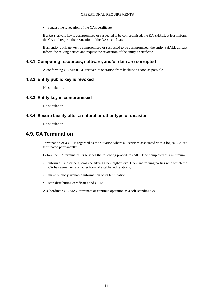request the revocation of the CA's certificate

If a RA s private key is compromised or suspected to be compromised, the RA SHALL at least inform the CA and request the revocation of the RA's certificate

<span id="page-19-0"></span>If an entity s private key is compromised or suspected to be compromised, the entity SHALL at least inform the relying parties and request the revocation of the entity's certificate.

#### **4.8.1. Computing resources, software, and/or data are corrupted**

<span id="page-19-1"></span>A conforming CA SHOULD recover its operation from backups as soon as possible.

#### **4.8.2. Entity public key is revoked**

<span id="page-19-2"></span>No stipulation.

#### **4.8.3. Entity key is compromised**

<span id="page-19-3"></span>No stipulation.

#### **4.8.4. Secure facility after a natural or other type of disaster**

<span id="page-19-4"></span>No stipulation.

### **4.9. CA Termination**

Termination of a CA is regarded as the situation where all services associated with a logical CA are terminated permanently.

Before the CA terminates its services the following procedures MUST be completed as a minimum:

- inform all subscribers, cross certifying CAs, higher level CAs, and relying parties with which the CA has agreements or other form of established relations,
- make publicly available information of its termination,
- stop distributing certificates and CRLs.

A subordinate CA MAY terminate or continue operation as a self-standing CA.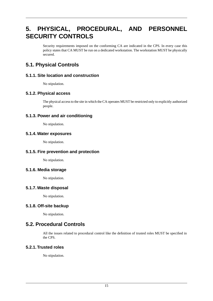## <span id="page-20-0"></span>**5. PHYSICAL, PROCEDURAL, AND PERSONNEL SECURITY CONTROLS**

<span id="page-20-1"></span>Security requirements imposed on the conforming CA are indicated in the CPS. In every case this policy states that CA MUST be run on a dedicated workstation. The workstation MUST be physically secured.

### <span id="page-20-2"></span>**5.1. Physical Controls**

#### **5.1.1. Site location and construction**

<span id="page-20-3"></span>No stipulation.

#### **5.1.2. Physical access**

<span id="page-20-4"></span>The physical access to the site in which the CA operates MUST be restricted only to explicitly authorized people.

#### **5.1.3. Power and air conditioning**

<span id="page-20-6"></span><span id="page-20-5"></span>No stipulation.

#### **5.1.4. Water exposures**

<span id="page-20-7"></span>No stipulation.

#### **5.1.5. Fire prevention and protection**

<span id="page-20-8"></span>No stipulation.

#### **5.1.6. Media storage**

<span id="page-20-9"></span>No stipulation.

#### **5.1.7. Waste disposal**

<span id="page-20-10"></span>No stipulation.

#### **5.1.8. Off-site backup**

<span id="page-20-11"></span>No stipulation.

### **5.2. Procedural Controls**

All the issues related to procedural control like the definition of trusted roles MUST be specified in the CPS.

#### **5.2.1.Trusted roles**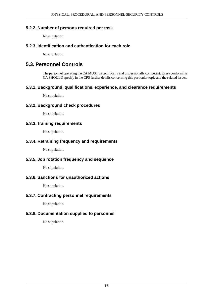#### **5.2.2. Number of persons required per task**

<span id="page-21-1"></span><span id="page-21-0"></span>No stipulation.

#### **5.2.3. Identification and authentication for each role**

<span id="page-21-2"></span>No stipulation.

### **5.3. Personnel Controls**

<span id="page-21-3"></span>The personnel operating the CA MUST be technically and professionally competent. Every conforming CA SHOULD specify in the CPS further details concerning this particular topic and the related issues.

#### **5.3.1. Background, qualifications, experience, and clearance requirements**

<span id="page-21-4"></span>No stipulation.

#### **5.3.2. Background check procedures**

<span id="page-21-5"></span>No stipulation.

#### **5.3.3.Training requirements**

<span id="page-21-7"></span><span id="page-21-6"></span>No stipulation.

#### **5.3.4. Retraining frequency and requirements**

<span id="page-21-8"></span>No stipulation.

#### **5.3.5. Job rotation frequency and sequence**

<span id="page-21-9"></span>No stipulation.

#### **5.3.6. Sanctions for unauthorized actions**

<span id="page-21-10"></span>No stipulation.

#### **5.3.7. Contracting personnel requirements**

No stipulation.

#### **5.3.8. Documentation supplied to personnel**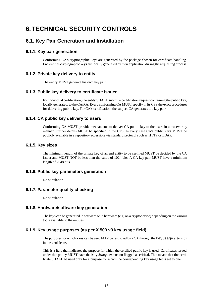## <span id="page-22-1"></span><span id="page-22-0"></span>**6.TECHNICAL SECURITY CONTROLS**

### <span id="page-22-2"></span>**6.1. Key Pair Generation and Installation**

#### **6.1.1. Key pair generation**

<span id="page-22-3"></span>Conforming CA's cryptographic keys are generated by the package chosen for certificate handling. End entities cryptographic keys are locally generated by their application during the requesting process.

#### **6.1.2. Private key delivery to entity**

<span id="page-22-4"></span>The entity MUST generate his own key pair.

#### **6.1.3. Public key delivery to certificate issuer**

<span id="page-22-5"></span>For individual certification, the entity SHALL submit a certification request containing the public key, locally generated, to the CA/RA. Every conforming CA MUST specify in its CPS the exact procedures for delivering public key. For CA's certification, the subject CA generates the key pair.

#### **6.1.4. CA public key delivery to users**

<span id="page-22-6"></span>Conforming CA MUST provide mechanisms to deliver CA public key to the users in a trustworthy manner. Further details MUST be specified in the CPS. In every case CA's public keys MUST be publicly available in a repository accessible via standard protocol such as HTTP or LDAP.

#### **6.1.5. Key sizes**

<span id="page-22-8"></span><span id="page-22-7"></span>The minimum length of the private key of an end entity to be certified MUST be decided by the CA issuer and MUST NOT be less than the value of 1024 bits. A CA key pair MUST have a minimum length of 2048 bits.

#### **6.1.6. Public key parameters generation**

<span id="page-22-9"></span>No stipulation.

#### **6.1.7. Parameter quality checking**

<span id="page-22-10"></span>No stipulation.

#### **6.1.8. Hardware/software key generation**

The keys can be generated in software or in hardware (e.g. on a cryptodevice) depending on the various tools available to the entities.

#### **6.1.9. Key usage purposes (as per X.509 v3 key usage field)**

The purposes for which a key can be used MAY be restricted by a CA through the keyUsage extension in the certificate.

This is a field that indicates the purpose for which the certified public key is used. Certificates issued under this policy MUST have the keyUsage extension flagged as critical. This means that the certificate SHALL be used only for a purpose for which the corresponding key usage bit is set to one.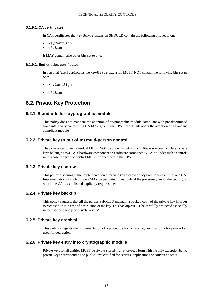#### **6.1.9.1. CA certificates**

<span id="page-23-0"></span>In CA's certificates the keyUsage extension SHOULD contain the following bits set to one:

- keyCertSign
- cRLSign

<span id="page-23-1"></span>It MAY contain also other bits set to one.

#### **6.1.9.2. End entities certificates**

In personal (user) certificates the keyUsage extension MUST NOT contain the following bits set to one:

- keyCertSign
- <span id="page-23-3"></span><span id="page-23-2"></span>• cRLSign

### **6.2. Private Key Protection**

#### **6.2.1. Standards for cryptographic module**

<span id="page-23-4"></span>This policy does not mandate the adoption of cryptographic module compliant with pre-determined standards. Every conforming CA MAY give in the CPS more details about the adoption of a standard compliant module.

#### **6.2.2. Private key (n out of m) multi-person control**

<span id="page-23-5"></span>The private key of an individual MUST NOT be under (n out of m) multi-person control. Only private keys belonging to a CA, a hardware component or a software component MAY be under such a control: in this case the type of control MUST be specified in the CPS.

#### **6.2.3. Private key escrow**

<span id="page-23-6"></span>This policy discourages the implementation of private key escrow policy both for end entities and CA. Implementation of such policies MAY be permitted if and only if the governing law of the country in which the CA is established explicitly requires them.

#### **6.2.4. Private key backup**

<span id="page-23-8"></span><span id="page-23-7"></span>This policy suggests that all the parties SHOULD maintain a backup copy of the private key in order to reconstitute it in case of destruction of the key. This backup MUST be carefully protected especially in the case of backup of private key CA.

#### **6.2.5. Private key archival**

This policy suggests the implementation of a procedure for private key archival only for private key used for decryption.

#### **6.2.6. Private key entry into cryptographic module**

Private keys for all entities MUST be always stored in an encrypted form with the only exception being private keys corresponding to public keys certified for servers, applications or software agents.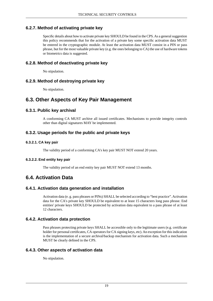#### **6.2.7. Method of activating private key**

<span id="page-24-1"></span><span id="page-24-0"></span>Specific details about how to activate private key SHOULD be found in the CPS. As a general suggestion this policy recommends that for the activation of a private key some specific activation data MUST be entered in the cryptographic module. At least the activation data MUST consist in a PIN or pass phrase, but for the most valuable private key (e.g. the ones belonging to CA) the use of hardware tokens or biometrics data is suggested.

#### **6.2.8. Method of deactivating private key**

<span id="page-24-2"></span>No stipulation.

#### **6.2.9. Method of destroying private key**

<span id="page-24-4"></span><span id="page-24-3"></span>No stipulation.

### **6.3. Other Aspects of Key Pair Management**

#### **6.3.1. Public key archival**

<span id="page-24-6"></span><span id="page-24-5"></span>A conforming CA MUST archive all issued certificates. Mechanisms to provide integrity controls other than digital signatures MAY be implemented.

#### **6.3.2. Usage periods for the public and private keys**

#### **6.3.2.1. CA key pair**

<span id="page-24-8"></span><span id="page-24-7"></span>The validity period of a conforming CA's key pair MUST NOT extend 20 years.

#### **6.3.2.2. End entity key pair**

<span id="page-24-9"></span>The validity period of an end entity key pair MUST NOT extend 13 months.

### **6.4. Activation Data**

#### **6.4.1. Activation data generation and installation**

<span id="page-24-10"></span>Activation data (e. g. pass phrases or PINs) SHALL be selected according to "best practice". Activation data for the CA's private key SHOULD be equivalent to at least 15 characters long pass phrase. End entities' private keys SHOULD be protected by activation data equivalent to a pass phrase of at least 12 characters.

#### **6.4.2. Activation data protection**

<span id="page-24-11"></span>Pass phrases protecting private keys SHALL be accessible only to the legitimate users (e.g. certificate holder for personal certificates, CA operators for CA signing keys, etc). An exception for this indication is the implementation of a secure archival/backup mechanism for activation data. Such a mechanism MUST be clearly defined in the CPS.

#### **6.4.3. Other aspects of activation data**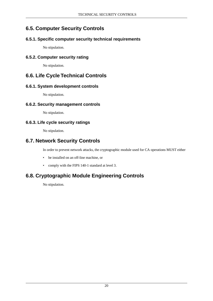### <span id="page-25-0"></span>**6.5. Computer Security Controls**

#### <span id="page-25-1"></span>**6.5.1. Specific computer security technical requirements**

<span id="page-25-2"></span>No stipulation.

#### **6.5.2. Computer security rating**

<span id="page-25-4"></span><span id="page-25-3"></span>No stipulation.

### **6.6. Life Cycle Technical Controls**

#### **6.6.1. System development controls**

<span id="page-25-5"></span>No stipulation.

#### **6.6.2. Security management controls**

<span id="page-25-6"></span>No stipulation.

#### **6.6.3. Life cycle security ratings**

<span id="page-25-7"></span>No stipulation.

### **6.7. Network Security Controls**

In order to prevent network attacks, the cryptographic module used for CA operations MUST either

- <span id="page-25-8"></span>• be installed on an off-line machine, or
- comply with the FIPS 140-1 standard at level 3.

### **6.8. Cryptographic Module Engineering Controls**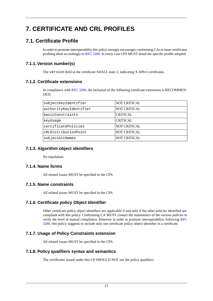## <span id="page-26-1"></span><span id="page-26-0"></span>**7. CERTIFICATE AND CRL PROFILES**

### **7.1. Certificate Profile**

<span id="page-26-2"></span>In order to promote interoperability this policy strongly encourages conforming CAs to issue certificates profiling them accordingly to [RFC 3280](#page-30-4). In every case CPS MUST detail the specific profile adopted.

#### **7.1.1.Version number(s)**

<span id="page-26-3"></span>The version field in the certificate SHALL state 2, indicating X.509v3 certificates.

#### **7.1.2. Certificate extensions**

In compliance with [RFC 3280,](#page-30-4) the inclusion of the following certificate extensions is RECOMMEN-DED:

| subjectKeyIdentifier   | <b>NOT CRITICAL</b> |
|------------------------|---------------------|
| authorityKeyIdentifier | <b>NOT CRITICAL</b> |
| lbasicConstraints      | <b>CRITICAL</b>     |
| keyUsaqe               | <b>CRITICAL</b>     |
| certificatePolicies    | <b>NOT CRITICAL</b> |
| cRLDistributionPoint   | <b>NOT CRITICAL</b> |
| subjectAltNames        | NOT CRITICAL        |

#### <span id="page-26-4"></span>**7.1.3. Algorithm object identifiers**

<span id="page-26-6"></span><span id="page-26-5"></span>No stipulation.

#### **7.1.4. Name forms**

<span id="page-26-7"></span>All related issues MUST be specified in the CPS.

#### **7.1.5. Name constraints**

All related issues MUST be specified in the CPS.

#### **7.1.6. Certificate policy Object Identifier**

<span id="page-26-9"></span><span id="page-26-8"></span>Other certificate policy object identifiers are applicable if and only if the other policies identified are compliant with this policy. Conforming CA MUST contact the maintainers of the various policies to verify the level of mutual compliance. However in order to promote interoperability, following [RFC](#page-30-4) [3280](#page-30-4), this policy suggests to include only one certificate policy object identifier in a certificate.

#### **7.1.7. Usage of Policy Constraints extension**

All related issues MUST be specified in the CPS.

#### **7.1.8. Policy qualifiers syntax and semantics**

The certificates issued under this CP SHOULD NOT use the policy qualifiers.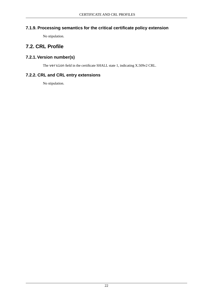### **7.1.9. Processing semantics for the critical certificate policy extension**

<span id="page-27-2"></span><span id="page-27-1"></span><span id="page-27-0"></span>No stipulation.

### **7.2. CRL Profile**

#### **7.2.1.Version number(s)**

<span id="page-27-3"></span>The version field in the certificate SHALL state 1, indicating X.509v2 CRL.

#### **7.2.2. CRL and CRL entry extensions**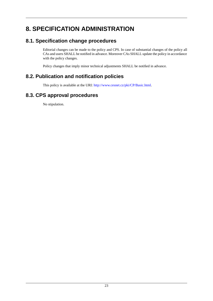## <span id="page-28-1"></span><span id="page-28-0"></span>**8. SPECIFICATION ADMINISTRATION**

### **8.1. Specification change procedures**

Editorial changes can be made to the policy and CPS. In case of substantial changes of the policy all CAs and users SHALL be notified in advance. Moreover CAs SHALL update the policy in accordance with the policy changes.

<span id="page-28-2"></span>Policy changes that imply minor technical adjustments SHALL be notified in advance.

### **8.2. Publication and notification policies**

<span id="page-28-3"></span>This policy is available at the URI: <http://www.cesnet.cz/pki/CP/Basic.html>.

### **8.3. CPS approval procedures**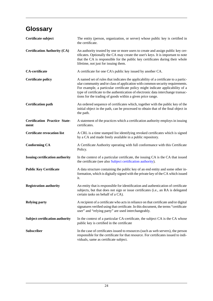## <span id="page-29-0"></span>**Glossary**

<span id="page-29-1"></span>

| Certificate subject                          | The entity (person, organization, or server) whose public key is certified in<br>the certificate.                                                                                                                                                                                                                                                                                                         |
|----------------------------------------------|-----------------------------------------------------------------------------------------------------------------------------------------------------------------------------------------------------------------------------------------------------------------------------------------------------------------------------------------------------------------------------------------------------------|
| <b>Certification Authority (CA)</b>          | An authority trusted by one or more users to create and assign public key cer-<br>tificates. Optionally the CA may create the user's keys. It is important to note<br>that the CA is responsible for the public key certificates during their whole<br>lifetime, not just for issuing them.                                                                                                               |
| <b>CA-certificate</b>                        | A certificate for one CA's public key issued by another CA.                                                                                                                                                                                                                                                                                                                                               |
| <b>Certificate policy</b>                    | A named set of rules that indicates the applicability of a certificate to a partic-<br>ular community and/or class of application with common security requirements.<br>For example, a particular certificate policy might indicate applicability of a<br>type of certificate to the authentication of electronic data interchange transac-<br>tions for the trading of goods within a given price range. |
| <b>Certification path</b>                    | An ordered sequence of certificates which, together with the public key of the<br>initial object in the path, can be processed to obtain that of the final object in<br>the path.                                                                                                                                                                                                                         |
| <b>Certification Practice State-</b><br>ment | A statement of the practices which a certification authority employs in issuing<br>certificates.                                                                                                                                                                                                                                                                                                          |
| <b>Certificate revocation list</b>           | A CRL is a time stamped list identifying revoked certificates which is signed<br>by a CA and made freely available in a public repository.                                                                                                                                                                                                                                                                |
| <b>Conforming CA</b>                         | A Certificate Authority operating with full conformance with this Certificate<br>Policy.                                                                                                                                                                                                                                                                                                                  |
| <b>Issuing certification authority</b>       | In the context of a particular certificate, the issuing CA is the CA that issued<br>the certificate (see also Subject certification authority).                                                                                                                                                                                                                                                           |
| <b>Public Key Certificate</b>                | A data structure containing the public key of an end entity and some other in-<br>formation, which is digitally signed with the private key of the CA which issued<br>it.                                                                                                                                                                                                                                 |
| <b>Registration authority</b>                | An entity that is responsible for identification and authentication of certificate<br>subjects, but that does not sign or issue certificates (i.e., an RA is delegated<br>certain tasks on behalf of a CA).                                                                                                                                                                                               |
| <b>Relying party</b>                         | A recipient of a certificate who acts in reliance on that certificate and/or digital<br>signatures verified using that certificate. In this document, the terms "certificate<br>user" and "relying party" are used interchangeably.                                                                                                                                                                       |
| <b>Subject certification authority</b>       | In the context of a particular CA-certificate, the subject CA is the CA whose<br>public key is certified in the certificate                                                                                                                                                                                                                                                                               |
| <b>Subscriber</b>                            | In the case of certificates issued to resources (such as web servers), the person<br>responsible for the certificate for that resource. For certificates issued to indi-<br>viduals, same as certificate subject.                                                                                                                                                                                         |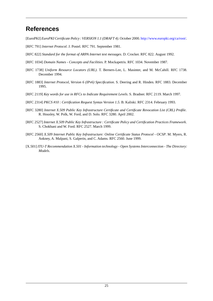## <span id="page-30-0"></span>**References**

<span id="page-30-7"></span>[EuroPKI] *EuroPKI Certificate Policy : VERSION 1.1 (DRAFT 4)*. October 2000.<http://www.europki.org/ca/root/>.

- <span id="page-30-5"></span>[RFC 791] *Internet Protocol*. J. Postel. RFC 791. September 1981.
- <span id="page-30-6"></span>[RFC 822] *Standard for the format of ARPA Internet text messages*. D. Crocker. RFC 822. August 1992.
- <span id="page-30-9"></span>[RFC 1034] *Domain Names - Concepts and Facilities*. P. Mockapetris. RFC 1034. November 1987.
- <span id="page-30-8"></span>[RFC 1738] *Uniform Resource Locators (URL)*. T. Berners-Lee, L. Masinter, and M. McCahill. RFC 1738. December 1994.
- <span id="page-30-2"></span>[RFC 1883] *Internet Protocol, Version 6 (IPv6) Specification*. S. Deering and R. Hinden. RFC 1883. December 1995.
- [RFC 2119] *Key words for use in RFCs to Indicate Requirement Levels*. S. Bradner. RFC 2119. March 1997.
- <span id="page-30-4"></span>[RFC 2314] *PKCS #10 : Certification Request Syntax Version 1.5*. B. Kaliski. RFC 2314. February 1993.
- <span id="page-30-1"></span>[RFC 3280] *Internet X.509 Public Key Infrastructure Certificate and Certificate Revocation List (CRL) Profile*. R. Housley, W. Polk, W. Ford, and D. Solo. RFC 3280. April 2002.
- <span id="page-30-10"></span>[RFC 2527] *Internet X.509 Public Key Infrastructure : Certificate Policy and Certification Practices Framework*. S. Chokhani and W. Ford. RFC 2527. March 1999.
- <span id="page-30-3"></span>[RFC 2560] *X.509 Internet Public Key Infrastructure: Online Certificate Status Protocol - OCSP*. M. Myers, R. Ankney, A. Malpani, S. Galperin, and C. Adams. RFC 2560. June 1999.
- [X.501] *ITU-T Recommendation X.501 Information technology Open Systems Interconnection The Directory: Models*.